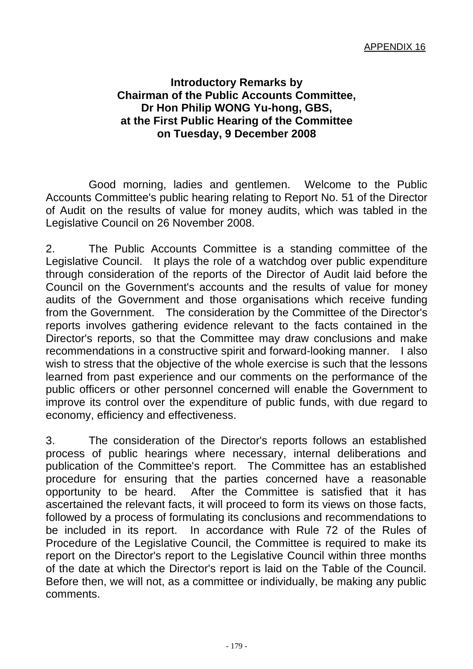## **Introductory Remarks by Chairman of the Public Accounts Committee, Dr Hon Philip WONG Yu-hong, GBS, at the First Public Hearing of the Committee on Tuesday, 9 December 2008**

 Good morning, ladies and gentlemen. Welcome to the Public Accounts Committee's public hearing relating to Report No. 51 of the Director of Audit on the results of value for money audits, which was tabled in the Legislative Council on 26 November 2008.

2. The Public Accounts Committee is a standing committee of the Legislative Council. It plays the role of a watchdog over public expenditure through consideration of the reports of the Director of Audit laid before the Council on the Government's accounts and the results of value for money audits of the Government and those organisations which receive funding from the Government. The consideration by the Committee of the Director's reports involves gathering evidence relevant to the facts contained in the Director's reports, so that the Committee may draw conclusions and make recommendations in a constructive spirit and forward-looking manner. I also wish to stress that the objective of the whole exercise is such that the lessons learned from past experience and our comments on the performance of the public officers or other personnel concerned will enable the Government to improve its control over the expenditure of public funds, with due regard to economy, efficiency and effectiveness.

3. The consideration of the Director's reports follows an established process of public hearings where necessary, internal deliberations and publication of the Committee's report. The Committee has an established procedure for ensuring that the parties concerned have a reasonable opportunity to be heard. After the Committee is satisfied that it has ascertained the relevant facts, it will proceed to form its views on those facts, followed by a process of formulating its conclusions and recommendations to be included in its report. In accordance with Rule 72 of the Rules of Procedure of the Legislative Council, the Committee is required to make its report on the Director's report to the Legislative Council within three months of the date at which the Director's report is laid on the Table of the Council. Before then, we will not, as a committee or individually, be making any public comments.